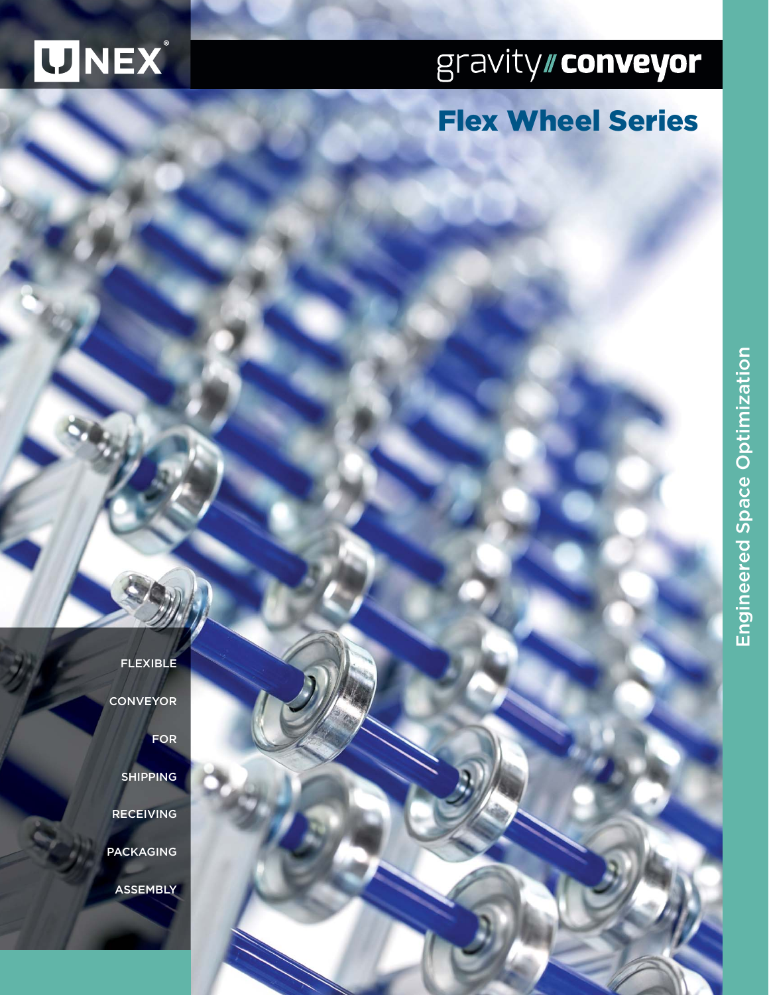# WNEX

# gravity//conveyor

## Flex Wheel Series

- FLEXIBLE
- **CONVEYOR** 
	- FOR
	- SHIPPING
- RECEIVING
- PACKAGING
	- **ASSEMBLY**